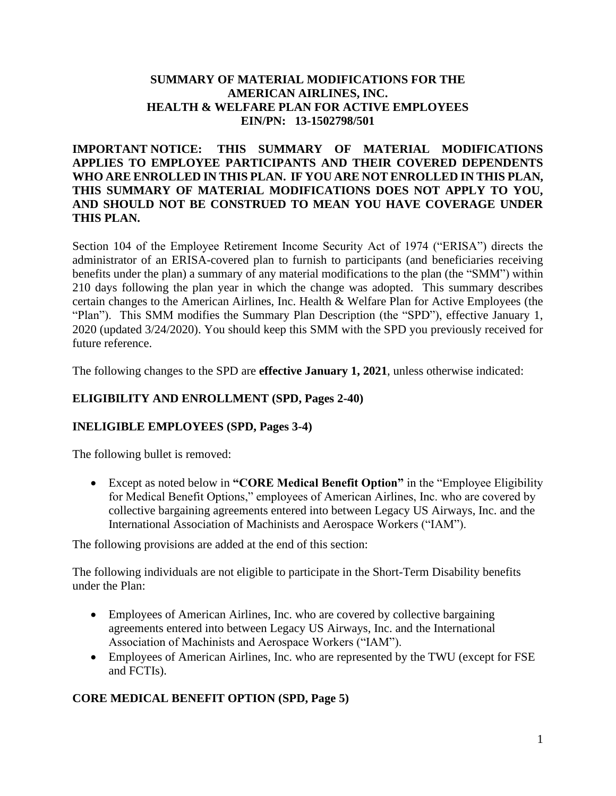#### **SUMMARY OF MATERIAL MODIFICATIONS FOR THE AMERICAN AIRLINES, INC. HEALTH & WELFARE PLAN FOR ACTIVE EMPLOYEES EIN/PN: 13-1502798/501**

### **IMPORTANT NOTICE: THIS SUMMARY OF MATERIAL MODIFICATIONS APPLIES TO EMPLOYEE PARTICIPANTS AND THEIR COVERED DEPENDENTS WHO ARE ENROLLED IN THIS PLAN. IF YOU ARE NOT ENROLLED IN THIS PLAN, THIS SUMMARY OF MATERIAL MODIFICATIONS DOES NOT APPLY TO YOU, AND SHOULD NOT BE CONSTRUED TO MEAN YOU HAVE COVERAGE UNDER THIS PLAN.**

Section 104 of the Employee Retirement Income Security Act of 1974 ("ERISA") directs the administrator of an ERISA-covered plan to furnish to participants (and beneficiaries receiving benefits under the plan) a summary of any material modifications to the plan (the "SMM") within 210 days following the plan year in which the change was adopted. This summary describes certain changes to the American Airlines, Inc. Health & Welfare Plan for Active Employees (the "Plan"). This SMM modifies the Summary Plan Description (the "SPD"), effective January 1, 2020 (updated 3/24/2020). You should keep this SMM with the SPD you previously received for future reference.

The following changes to the SPD are **effective January 1, 2021**, unless otherwise indicated:

# **ELIGIBILITY AND ENROLLMENT (SPD, Pages 2-40)**

### **INELIGIBLE EMPLOYEES (SPD, Pages 3-4)**

The following bullet is removed:

• Except as noted below in **"CORE Medical Benefit Option"** in the "Employee Eligibility for Medical Benefit Options," employees of American Airlines, Inc. who are covered by collective bargaining agreements entered into between Legacy US Airways, Inc. and the International Association of Machinists and Aerospace Workers ("IAM").

The following provisions are added at the end of this section:

The following individuals are not eligible to participate in the Short-Term Disability benefits under the Plan:

- Employees of American Airlines, Inc. who are covered by collective bargaining agreements entered into between Legacy US Airways, Inc. and the International Association of Machinists and Aerospace Workers ("IAM").
- Employees of American Airlines, Inc. who are represented by the TWU (except for FSE and FCTIs).

### **CORE MEDICAL BENEFIT OPTION (SPD, Page 5)**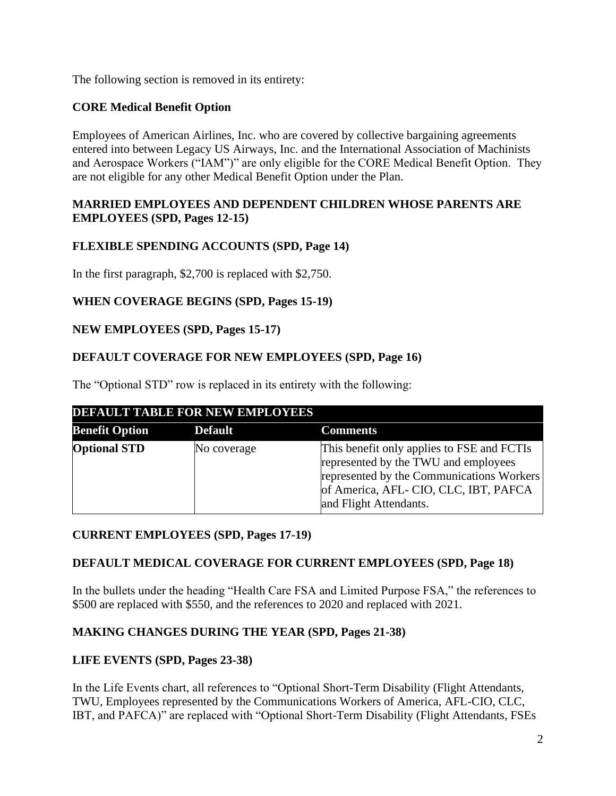The following section is removed in its entirety:

### **CORE Medical Benefit Option**

Employees of American Airlines, Inc. who are covered by collective bargaining agreements entered into between Legacy US Airways, Inc. and the International Association of Machinists and Aerospace Workers ("IAM")" are only eligible for the CORE Medical Benefit Option. They are not eligible for any other Medical Benefit Option under the Plan.

#### **MARRIED EMPLOYEES AND DEPENDENT CHILDREN WHOSE PARENTS ARE EMPLOYEES (SPD, Pages 12-15)**

### **FLEXIBLE SPENDING ACCOUNTS (SPD, Page 14)**

In the first paragraph, \$2,700 is replaced with \$2,750.

### **WHEN COVERAGE BEGINS (SPD, Pages 15-19)**

#### **NEW EMPLOYEES (SPD, Pages 15-17)**

#### **DEFAULT COVERAGE FOR NEW EMPLOYEES (SPD, Page 16)**

The "Optional STD" row is replaced in its entirety with the following:

|                       | <b>DEFAULT TABLE FOR NEW EMPLOYEES</b> |                                                                                                                                                                                                   |
|-----------------------|----------------------------------------|---------------------------------------------------------------------------------------------------------------------------------------------------------------------------------------------------|
| <b>Benefit Option</b> | <b>Default</b>                         | <b>Comments</b>                                                                                                                                                                                   |
| <b>Optional STD</b>   | No coverage                            | This benefit only applies to FSE and FCTIs<br>represented by the TWU and employees<br>represented by the Communications Workers<br>of America, AFL-CIO, CLC, IBT, PAFCA<br>and Flight Attendants. |

### **CURRENT EMPLOYEES (SPD, Pages 17-19)**

#### **DEFAULT MEDICAL COVERAGE FOR CURRENT EMPLOYEES (SPD, Page 18)**

In the bullets under the heading "Health Care FSA and Limited Purpose FSA," the references to \$500 are replaced with \$550, and the references to 2020 and replaced with 2021.

### **MAKING CHANGES DURING THE YEAR (SPD, Pages 21-38)**

### **LIFE EVENTS (SPD, Pages 23-38)**

In the Life Events chart, all references to "Optional Short-Term Disability (Flight Attendants, TWU, Employees represented by the Communications Workers of America, AFL-CIO, CLC, IBT, and PAFCA)" are replaced with "Optional Short-Term Disability (Flight Attendants, FSEs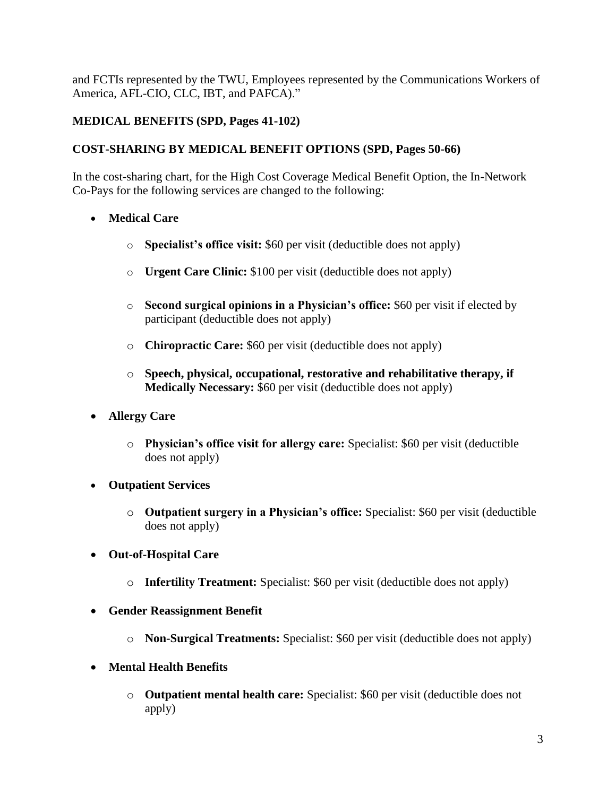and FCTIs represented by the TWU, Employees represented by the Communications Workers of America, AFL-CIO, CLC, IBT, and PAFCA)."

# **MEDICAL BENEFITS (SPD, Pages 41-102)**

### **COST-SHARING BY MEDICAL BENEFIT OPTIONS (SPD, Pages 50-66)**

In the cost-sharing chart, for the High Cost Coverage Medical Benefit Option, the In-Network Co-Pays for the following services are changed to the following:

- **Medical Care**
	- o **Specialist's office visit:** \$60 per visit (deductible does not apply)
	- o **Urgent Care Clinic:** \$100 per visit (deductible does not apply)
	- o **Second surgical opinions in a Physician's office:** \$60 per visit if elected by participant (deductible does not apply)
	- o **Chiropractic Care:** \$60 per visit (deductible does not apply)
	- o **Speech, physical, occupational, restorative and rehabilitative therapy, if Medically Necessary:** \$60 per visit (deductible does not apply)
- **Allergy Care**
	- o **Physician's office visit for allergy care:** Specialist: \$60 per visit (deductible does not apply)
- **Outpatient Services**
	- o **Outpatient surgery in a Physician's office:** Specialist: \$60 per visit (deductible does not apply)
- **Out-of-Hospital Care**
	- o **Infertility Treatment:** Specialist: \$60 per visit (deductible does not apply)
- **Gender Reassignment Benefit**
	- o **Non-Surgical Treatments:** Specialist: \$60 per visit (deductible does not apply)
- **Mental Health Benefits**
	- o **Outpatient mental health care:** Specialist: \$60 per visit (deductible does not apply)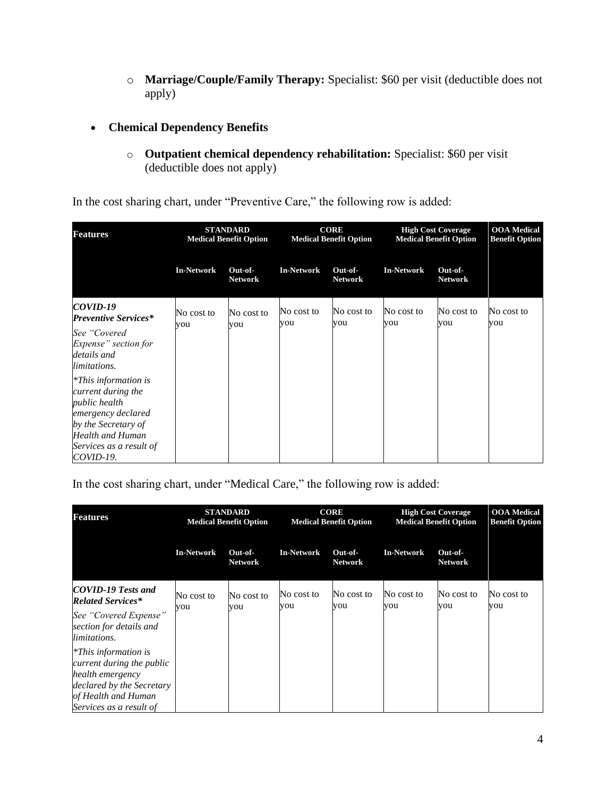o **Marriage/Couple/Family Therapy:** Specialist: \$60 per visit (deductible does not apply)

### • **Chemical Dependency Benefits**

o **Outpatient chemical dependency rehabilitation:** Specialist: \$60 per visit (deductible does not apply)

In the cost sharing chart, under "Preventive Care," the following row is added:

| <b>Features</b>                                                                                                                                                             |                   | <b>STANDARD</b><br><b>Medical Benefit Option</b> | <b>CORE</b><br><b>Medical Benefit Option</b> |                           | <b>High Cost Coverage</b><br><b>Medical Benefit Option</b> |                           | <b>OOA</b> Medical<br><b>Benefit Option</b> |
|-----------------------------------------------------------------------------------------------------------------------------------------------------------------------------|-------------------|--------------------------------------------------|----------------------------------------------|---------------------------|------------------------------------------------------------|---------------------------|---------------------------------------------|
|                                                                                                                                                                             | <b>In-Network</b> | Out-of-<br><b>Network</b>                        | <b>In-Network</b>                            | Out-of-<br><b>Network</b> | <b>In-Network</b>                                          | Out-of-<br><b>Network</b> |                                             |
| COVID-19<br><b>Preventive Services*</b>                                                                                                                                     | No cost to        | No cost to                                       | No cost to<br>you                            | No cost to<br>you         | No cost to<br>you                                          | No cost to<br>you         | No cost to<br>you                           |
| See "Covered<br>Expense" section for<br>details and<br>limitations.                                                                                                         | you               | you                                              |                                              |                           |                                                            |                           |                                             |
| <i>*This information is</i><br>current during the<br>public health<br>emergency declared<br>by the Secretary of<br>Health and Human<br>Services as a result of<br>COVID-19. |                   |                                                  |                                              |                           |                                                            |                           |                                             |

In the cost sharing chart, under "Medical Care," the following row is added:

| <b>Features</b>                                                                                                                                         |                   | <b>STANDARD</b><br><b>Medical Benefit Option</b> | <b>CORE</b><br><b>High Cost Coverage</b><br><b>Medical Benefit Option</b><br><b>Medical Benefit Option</b> |                           | <b>OOA</b> Medical<br><b>Benefit Option</b> |                           |                   |
|---------------------------------------------------------------------------------------------------------------------------------------------------------|-------------------|--------------------------------------------------|------------------------------------------------------------------------------------------------------------|---------------------------|---------------------------------------------|---------------------------|-------------------|
|                                                                                                                                                         | <b>In-Network</b> | Out-of-<br><b>Network</b>                        | <b>In-Network</b>                                                                                          | Out-of-<br><b>Network</b> | <b>In-Network</b>                           | Out-of-<br><b>Network</b> |                   |
| COVID-19 Tests and<br><b>Related Services*</b>                                                                                                          | No cost to        | No cost to                                       | No cost to<br>you                                                                                          | No cost to<br>you         | No cost to<br>you                           | No cost to<br>you         | No cost to<br>you |
| See "Covered Expense"<br>section for details and<br>limitations.                                                                                        | you               | you                                              |                                                                                                            |                           |                                             |                           |                   |
| $*$ This information is<br>current during the public<br>health emergency<br>declared by the Secretary<br>of Health and Human<br>Services as a result of |                   |                                                  |                                                                                                            |                           |                                             |                           |                   |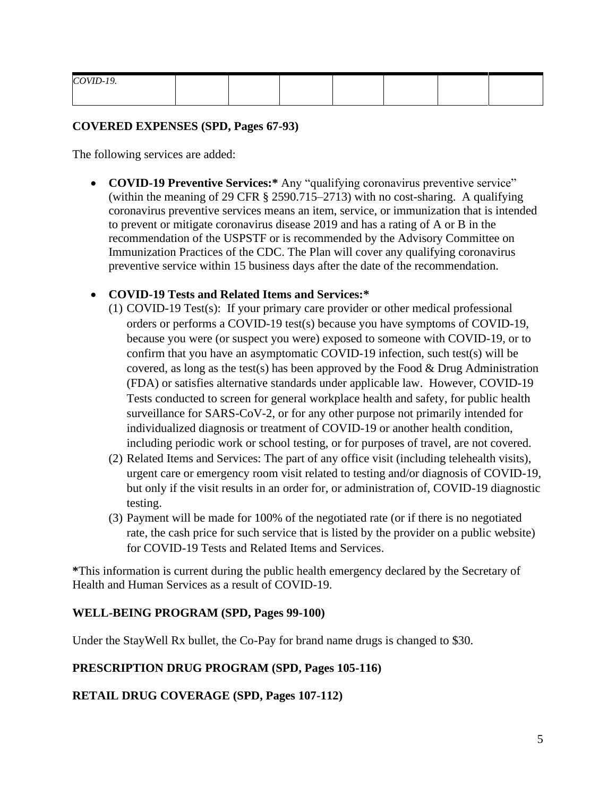| COVID-19. |  |  |  |  |
|-----------|--|--|--|--|
|           |  |  |  |  |

#### **COVERED EXPENSES (SPD, Pages 67-93)**

The following services are added:

• **COVID-19 Preventive Services:\*** Any "qualifying coronavirus preventive service" (within the meaning of 29 CFR § 2590.715–2713) with no cost-sharing. A qualifying coronavirus preventive services means an item, service, or immunization that is intended to prevent or mitigate coronavirus disease 2019 and has a rating of A or B in the recommendation of the USPSTF or is recommended by the Advisory Committee on Immunization Practices of the CDC. The Plan will cover any qualifying coronavirus preventive service within 15 business days after the date of the recommendation.

#### • **COVID-19 Tests and Related Items and Services:\***

- (1) COVID-19 Test(s): If your primary care provider or other medical professional orders or performs a COVID-19 test(s) because you have symptoms of COVID-19, because you were (or suspect you were) exposed to someone with COVID-19, or to confirm that you have an asymptomatic COVID-19 infection, such test(s) will be covered, as long as the test(s) has been approved by the Food & Drug Administration (FDA) or satisfies alternative standards under applicable law. However, COVID-19 Tests conducted to screen for general workplace health and safety, for public health surveillance for SARS-CoV-2, or for any other purpose not primarily intended for individualized diagnosis or treatment of COVID-19 or another health condition, including periodic work or school testing, or for purposes of travel, are not covered.
- (2) Related Items and Services: The part of any office visit (including telehealth visits), urgent care or emergency room visit related to testing and/or diagnosis of COVID-19, but only if the visit results in an order for, or administration of, COVID-19 diagnostic testing.
- (3) Payment will be made for 100% of the negotiated rate (or if there is no negotiated rate, the cash price for such service that is listed by the provider on a public website) for COVID-19 Tests and Related Items and Services.

**\***This information is current during the public health emergency declared by the Secretary of Health and Human Services as a result of COVID-19.

#### **WELL-BEING PROGRAM (SPD, Pages 99-100)**

Under the StayWell Rx bullet, the Co-Pay for brand name drugs is changed to \$30.

### **PRESCRIPTION DRUG PROGRAM (SPD, Pages 105-116)**

### **RETAIL DRUG COVERAGE (SPD, Pages 107-112)**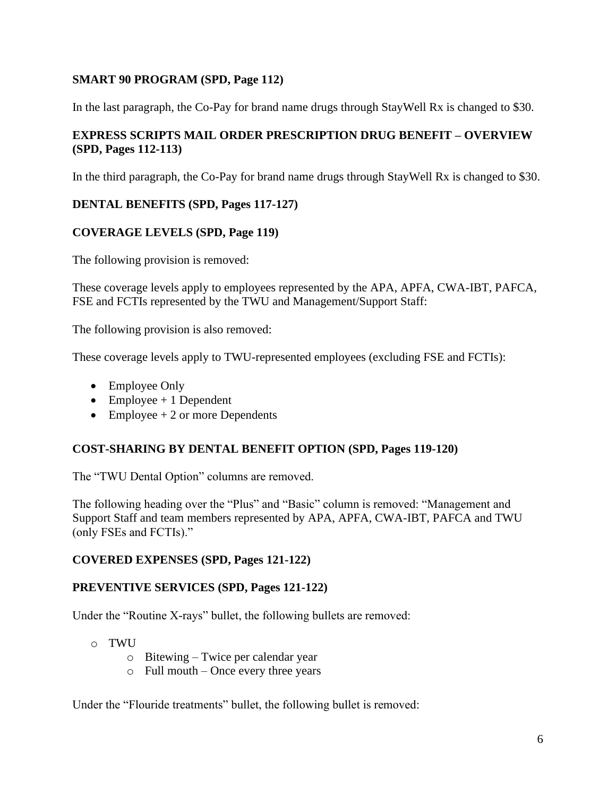### **SMART 90 PROGRAM (SPD, Page 112)**

In the last paragraph, the Co-Pay for brand name drugs through StayWell Rx is changed to \$30.

### **EXPRESS SCRIPTS MAIL ORDER PRESCRIPTION DRUG BENEFIT – OVERVIEW (SPD, Pages 112-113)**

In the third paragraph, the Co-Pay for brand name drugs through StayWell Rx is changed to \$30.

# **DENTAL BENEFITS (SPD, Pages 117-127)**

# **COVERAGE LEVELS (SPD, Page 119)**

The following provision is removed:

These coverage levels apply to employees represented by the APA, APFA, CWA-IBT, PAFCA, FSE and FCTIs represented by the TWU and Management/Support Staff:

The following provision is also removed:

These coverage levels apply to TWU-represented employees (excluding FSE and FCTIs):

- Employee Only
- Employee  $+1$  Dependent
- Employee  $+2$  or more Dependents

# **COST-SHARING BY DENTAL BENEFIT OPTION (SPD, Pages 119-120)**

The "TWU Dental Option" columns are removed.

The following heading over the "Plus" and "Basic" column is removed: "Management and Support Staff and team members represented by APA, APFA, CWA-IBT, PAFCA and TWU (only FSEs and FCTIs)."

### **COVERED EXPENSES (SPD, Pages 121-122)**

### **PREVENTIVE SERVICES (SPD, Pages 121-122)**

Under the "Routine X-rays" bullet, the following bullets are removed:

- o TWU
	- o Bitewing Twice per calendar year
	- $\circ$  Full mouth Once every three years

Under the "Flouride treatments" bullet, the following bullet is removed: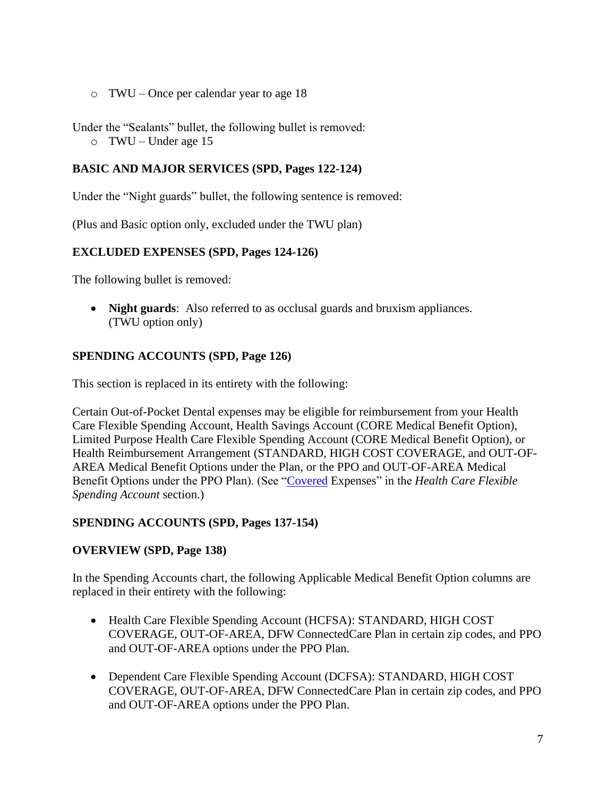o TWU – Once per calendar year to age 18

Under the "Sealants" bullet, the following bullet is removed:

o TWU – Under age 15

### **BASIC AND MAJOR SERVICES (SPD, Pages 122-124)**

Under the "Night guards" bullet, the following sentence is removed:

(Plus and Basic option only, excluded under the TWU plan)

### **EXCLUDED EXPENSES (SPD, Pages 124-126)**

The following bullet is removed:

• **Night guards**: Also referred to as occlusal guards and bruxism appliances. (TWU option only)

### **SPENDING ACCOUNTS (SPD, Page 126)**

This section is replaced in its entirety with the following:

Certain Out-of-Pocket Dental expenses may be eligible for reimbursement from your Health Care Flexible Spending Account, Health Savings Account (CORE Medical Benefit Option), Limited Purpose Health Care Flexible Spending Account (CORE Medical Benefit Option), or Health Reimbursement Arrangement (STANDARD, HIGH COST COVERAGE, and OUT-OF-AREA Medical Benefit Options under the Plan, or the PPO and OUT-OF-AREA Medical Benefit Options under the PPO Plan). (See "Covered Expenses" in the *Health Care Flexible Spending Account* section.)

### **SPENDING ACCOUNTS (SPD, Pages 137-154)**

### **OVERVIEW (SPD, Page 138)**

In the Spending Accounts chart, the following Applicable Medical Benefit Option columns are replaced in their entirety with the following:

- Health Care Flexible Spending Account (HCFSA): STANDARD, HIGH COST COVERAGE, OUT-OF-AREA, DFW ConnectedCare Plan in certain zip codes, and PPO and OUT-OF-AREA options under the PPO Plan.
- Dependent Care Flexible Spending Account (DCFSA): STANDARD, HIGH COST COVERAGE, OUT-OF-AREA, DFW ConnectedCare Plan in certain zip codes, and PPO and OUT-OF-AREA options under the PPO Plan.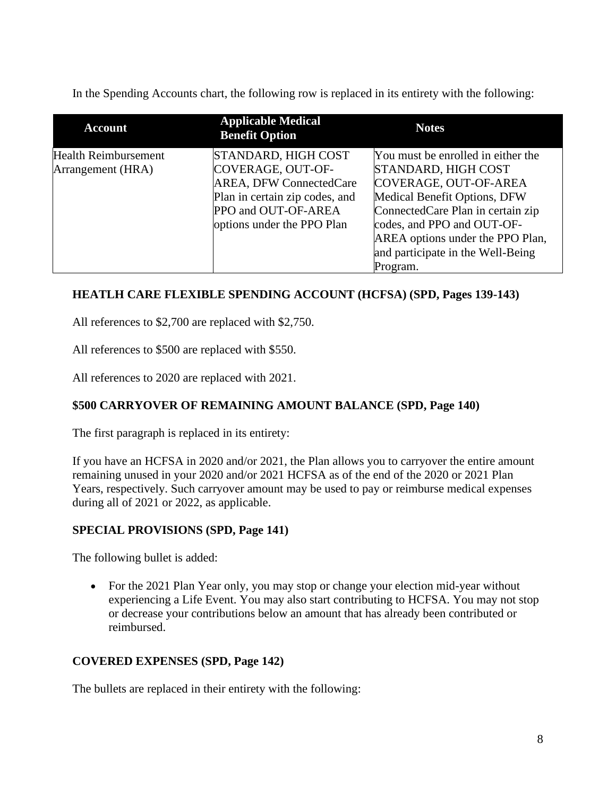In the Spending Accounts chart, the following row is replaced in its entirety with the following:

| <b>Account</b>              | <b>Applicable Medical</b><br><b>Benefit Option</b> | <b>Notes</b>                       |
|-----------------------------|----------------------------------------------------|------------------------------------|
| <b>Health Reimbursement</b> | STANDARD, HIGH COST                                | You must be enrolled in either the |
| Arrangement (HRA)           | COVERAGE, OUT-OF-                                  | STANDARD, HIGH COST                |
|                             | <b>AREA, DFW ConnectedCare</b>                     | COVERAGE, OUT-OF-AREA              |
|                             | Plan in certain zip codes, and                     | Medical Benefit Options, DFW       |
|                             | PPO and OUT-OF-AREA                                | ConnectedCare Plan in certain zip  |
|                             | options under the PPO Plan                         | codes, and PPO and OUT-OF-         |
|                             |                                                    | AREA options under the PPO Plan,   |
|                             |                                                    | and participate in the Well-Being  |
|                             |                                                    | Program.                           |

# **HEATLH CARE FLEXIBLE SPENDING ACCOUNT (HCFSA) (SPD, Pages 139-143)**

All references to \$2,700 are replaced with \$2,750.

All references to \$500 are replaced with \$550.

All references to 2020 are replaced with 2021.

# **\$500 CARRYOVER OF REMAINING AMOUNT BALANCE (SPD, Page 140)**

The first paragraph is replaced in its entirety:

If you have an HCFSA in 2020 and/or 2021, the Plan allows you to carryover the entire amount remaining unused in your 2020 and/or 2021 HCFSA as of the end of the 2020 or 2021 Plan Years, respectively. Such carryover amount may be used to pay or reimburse medical expenses during all of 2021 or 2022, as applicable.

# **SPECIAL PROVISIONS (SPD, Page 141)**

The following bullet is added:

• For the 2021 Plan Year only, you may stop or change your election mid-year without experiencing a Life Event. You may also start contributing to HCFSA. You may not stop or decrease your contributions below an amount that has already been contributed or reimbursed.

# **COVERED EXPENSES (SPD, Page 142)**

The bullets are replaced in their entirety with the following: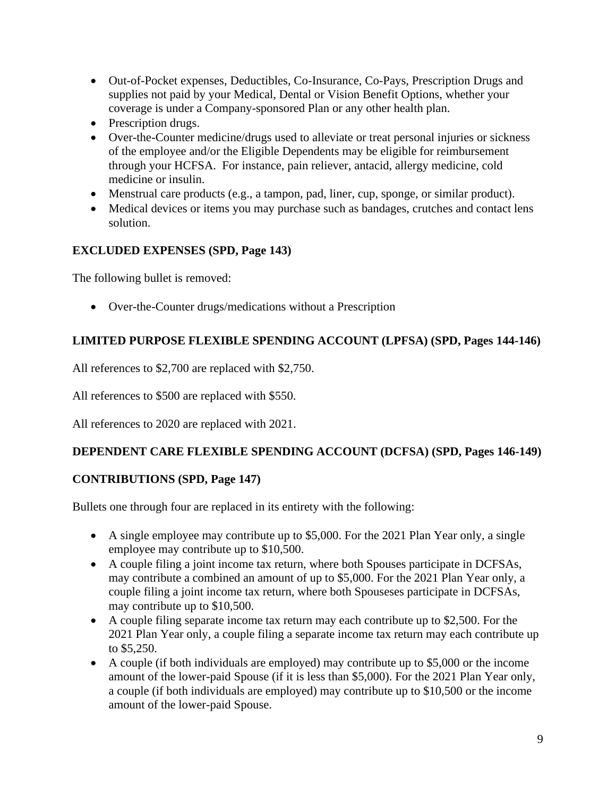- Out-of-Pocket expenses, Deductibles, Co-Insurance, Co-Pays, Prescription Drugs and supplies not paid by your Medical, Dental or Vision Benefit Options, whether your coverage is under a Company-sponsored Plan or any other health plan.
- Prescription drugs.
- Over-the-Counter medicine/drugs used to alleviate or treat personal injuries or sickness of the employee and/or the Eligible Dependents may be eligible for reimbursement through your HCFSA. For instance, pain reliever, antacid, allergy medicine, cold medicine or insulin.
- Menstrual care products (e.g., a tampon, pad, liner, cup, sponge, or similar product).
- Medical devices or items you may purchase such as bandages, crutches and contact lens solution.

# **EXCLUDED EXPENSES (SPD, Page 143)**

The following bullet is removed:

• Over-the-Counter drugs/medications without a Prescription

# **LIMITED PURPOSE FLEXIBLE SPENDING ACCOUNT (LPFSA) (SPD, Pages 144-146)**

All references to \$2,700 are replaced with \$2,750.

All references to \$500 are replaced with \$550.

All references to 2020 are replaced with 2021.

# **DEPENDENT CARE FLEXIBLE SPENDING ACCOUNT (DCFSA) (SPD, Pages 146-149)**

# **CONTRIBUTIONS (SPD, Page 147)**

Bullets one through four are replaced in its entirety with the following:

- A single employee may contribute up to \$5,000. For the 2021 Plan Year only, a single employee may contribute up to \$10,500.
- A couple filing a joint income tax return, where both Spouses participate in DCFSAs, may contribute a combined an amount of up to \$5,000. For the 2021 Plan Year only, a couple filing a joint income tax return, where both Spouseses participate in DCFSAs, may contribute up to \$10,500.
- A couple filing separate income tax return may each contribute up to \$2,500. For the 2021 Plan Year only, a couple filing a separate income tax return may each contribute up to \$5,250.
- A couple (if both individuals are employed) may contribute up to \$5,000 or the income amount of the lower-paid Spouse (if it is less than \$5,000). For the 2021 Plan Year only, a couple (if both individuals are employed) may contribute up to \$10,500 or the income amount of the lower-paid Spouse.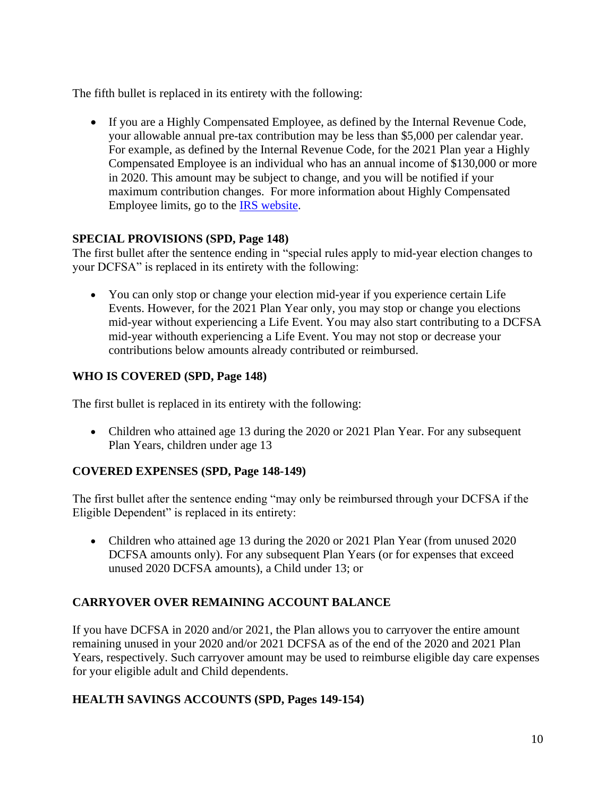The fifth bullet is replaced in its entirety with the following:

• If you are a Highly Compensated Employee, as defined by the Internal Revenue Code, your allowable annual pre-tax contribution may be less than \$5,000 per calendar year. For example, as defined by the Internal Revenue Code, for the 2021 Plan year a Highly Compensated Employee is an individual who has an annual income of \$130,000 or more in 2020. This amount may be subject to change, and you will be notified if your maximum contribution changes. For more information about Highly Compensated Employee limits, go to the [IRS website.](http://www.irs.gov/)

### **SPECIAL PROVISIONS (SPD, Page 148)**

The first bullet after the sentence ending in "special rules apply to mid-year election changes to your DCFSA" is replaced in its entirety with the following:

• You can only stop or change your election mid-year if you experience certain Life Events. However, for the 2021 Plan Year only, you may stop or change you elections mid-year without experiencing a Life Event. You may also start contributing to a DCFSA mid-year withouth experiencing a Life Event. You may not stop or decrease your contributions below amounts already contributed or reimbursed.

# **WHO IS COVERED (SPD, Page 148)**

The first bullet is replaced in its entirety with the following:

• Children who attained age 13 during the 2020 or 2021 Plan Year. For any subsequent Plan Years, children under age 13

# **COVERED EXPENSES (SPD, Page 148-149)**

The first bullet after the sentence ending "may only be reimbursed through your DCFSA if the Eligible Dependent" is replaced in its entirety:

• Children who attained age 13 during the 2020 or 2021 Plan Year (from unused 2020) DCFSA amounts only). For any subsequent Plan Years (or for expenses that exceed unused 2020 DCFSA amounts), a Child under 13; or

# **CARRYOVER OVER REMAINING ACCOUNT BALANCE**

If you have DCFSA in 2020 and/or 2021, the Plan allows you to carryover the entire amount remaining unused in your 2020 and/or 2021 DCFSA as of the end of the 2020 and 2021 Plan Years, respectively. Such carryover amount may be used to reimburse eligible day care expenses for your eligible adult and Child dependents.

# **HEALTH SAVINGS ACCOUNTS (SPD, Pages 149-154)**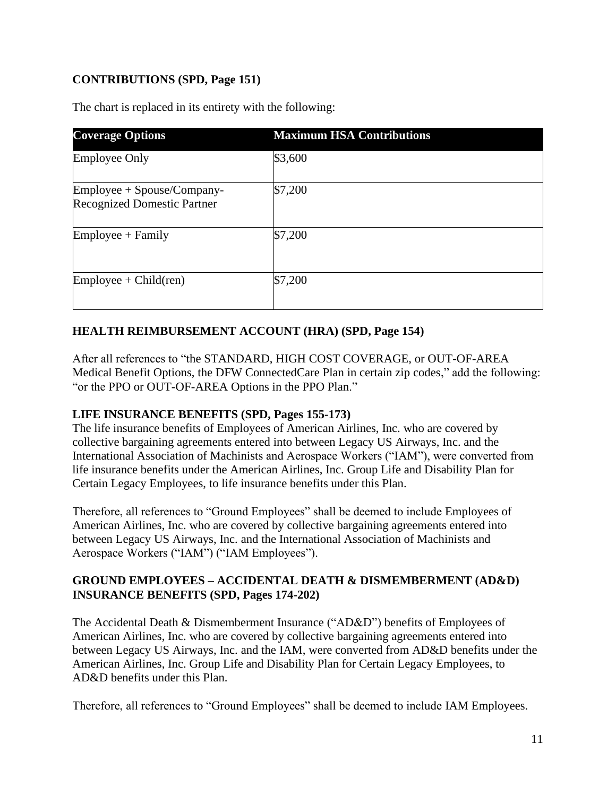# **CONTRIBUTIONS (SPD, Page 151)**

The chart is replaced in its entirety with the following:

| <b>Coverage Options</b>                                          | <b>Maximum HSA Contributions</b> |
|------------------------------------------------------------------|----------------------------------|
| <b>Employee Only</b>                                             | \$3,600                          |
| Employee + Spouse/Company-<br><b>Recognized Domestic Partner</b> | \$7,200                          |
| $Employee + Family$                                              | \$7,200                          |
| $Employee + Child (ren)$                                         | \$7,200                          |

### **HEALTH REIMBURSEMENT ACCOUNT (HRA) (SPD, Page 154)**

After all references to "the STANDARD, HIGH COST COVERAGE, or OUT-OF-AREA Medical Benefit Options, the DFW ConnectedCare Plan in certain zip codes," add the following: "or the PPO or OUT-OF-AREA Options in the PPO Plan."

### **LIFE INSURANCE BENEFITS (SPD, Pages 155-173)**

The life insurance benefits of Employees of American Airlines, Inc. who are covered by collective bargaining agreements entered into between Legacy US Airways, Inc. and the International Association of Machinists and Aerospace Workers ("IAM"), were converted from life insurance benefits under the American Airlines, Inc. Group Life and Disability Plan for Certain Legacy Employees, to life insurance benefits under this Plan.

Therefore, all references to "Ground Employees" shall be deemed to include Employees of American Airlines, Inc. who are covered by collective bargaining agreements entered into between Legacy US Airways, Inc. and the International Association of Machinists and Aerospace Workers ("IAM") ("IAM Employees").

#### **GROUND EMPLOYEES – ACCIDENTAL DEATH & DISMEMBERMENT (AD&D) INSURANCE BENEFITS (SPD, Pages 174-202)**

The Accidental Death & Dismemberment Insurance ("AD&D") benefits of Employees of American Airlines, Inc. who are covered by collective bargaining agreements entered into between Legacy US Airways, Inc. and the IAM, were converted from AD&D benefits under the American Airlines, Inc. Group Life and Disability Plan for Certain Legacy Employees, to AD&D benefits under this Plan.

Therefore, all references to "Ground Employees" shall be deemed to include IAM Employees.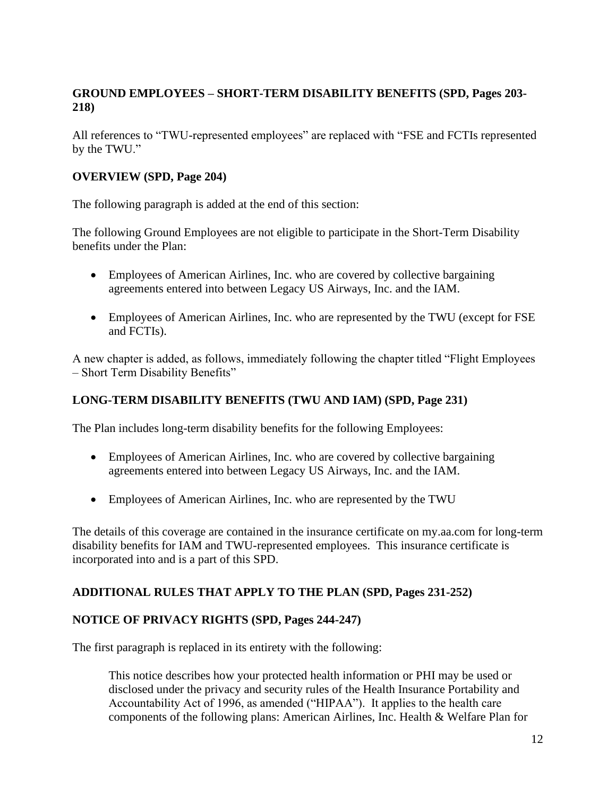# **GROUND EMPLOYEES – SHORT-TERM DISABILITY BENEFITS (SPD, Pages 203- 218)**

All references to "TWU-represented employees" are replaced with "FSE and FCTIs represented by the TWU."

### **OVERVIEW (SPD, Page 204)**

The following paragraph is added at the end of this section:

The following Ground Employees are not eligible to participate in the Short-Term Disability benefits under the Plan:

- Employees of American Airlines, Inc. who are covered by collective bargaining agreements entered into between Legacy US Airways, Inc. and the IAM.
- Employees of American Airlines, Inc. who are represented by the TWU (except for FSE and FCTIs).

A new chapter is added, as follows, immediately following the chapter titled "Flight Employees – Short Term Disability Benefits"

### **LONG-TERM DISABILITY BENEFITS (TWU AND IAM) (SPD, Page 231)**

The Plan includes long-term disability benefits for the following Employees:

- Employees of American Airlines, Inc. who are covered by collective bargaining agreements entered into between Legacy US Airways, Inc. and the IAM.
- Employees of American Airlines, Inc. who are represented by the TWU

The details of this coverage are contained in the insurance certificate on my.aa.com for long-term disability benefits for IAM and TWU-represented employees. This insurance certificate is incorporated into and is a part of this SPD.

### **ADDITIONAL RULES THAT APPLY TO THE PLAN (SPD, Pages 231-252)**

### **NOTICE OF PRIVACY RIGHTS (SPD, Pages 244-247)**

The first paragraph is replaced in its entirety with the following:

This notice describes how your protected health information or PHI may be used or disclosed under the privacy and security rules of the Health Insurance Portability and Accountability Act of 1996, as amended ("HIPAA"). It applies to the health care components of the following plans: American Airlines, Inc. Health & Welfare Plan for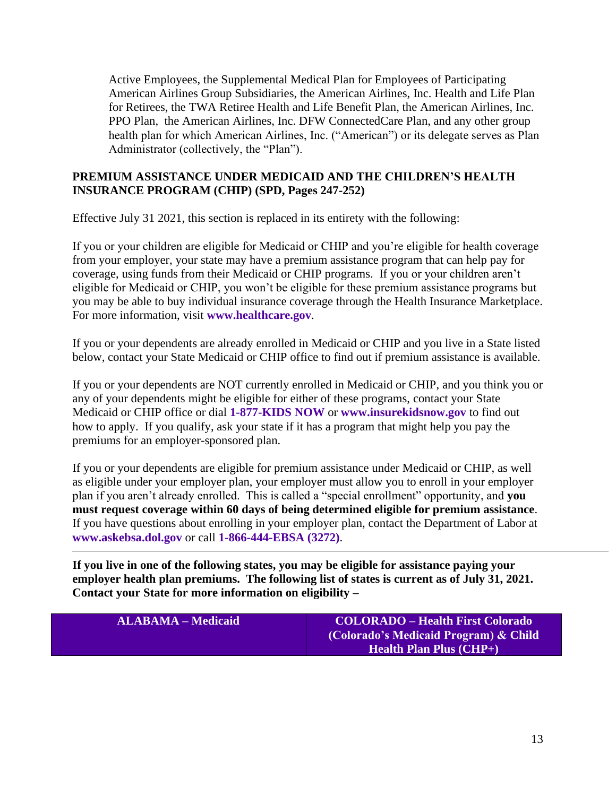Active Employees, the Supplemental Medical Plan for Employees of Participating American Airlines Group Subsidiaries, the American Airlines, Inc. Health and Life Plan for Retirees, the TWA Retiree Health and Life Benefit Plan, the American Airlines, Inc. PPO Plan, the American Airlines, Inc. DFW ConnectedCare Plan, and any other group health plan for which American Airlines, Inc. ("American") or its delegate serves as Plan Administrator (collectively, the "Plan").

### **PREMIUM ASSISTANCE UNDER MEDICAID AND THE CHILDREN'S HEALTH INSURANCE PROGRAM (CHIP) (SPD, Pages 247-252)**

Effective July 31 2021, this section is replaced in its entirety with the following:

If you or your children are eligible for Medicaid or CHIP and you're eligible for health coverage from your employer, your state may have a premium assistance program that can help pay for coverage, using funds from their Medicaid or CHIP programs. If you or your children aren't eligible for Medicaid or CHIP, you won't be eligible for these premium assistance programs but you may be able to buy individual insurance coverage through the Health Insurance Marketplace. For more information, visit **[www.healthcare.gov](http://www.healthcare.gov/)**.

If you or your dependents are already enrolled in Medicaid or CHIP and you live in a State listed below, contact your State Medicaid or CHIP office to find out if premium assistance is available.

If you or your dependents are NOT currently enrolled in Medicaid or CHIP, and you think you or any of your dependents might be eligible for either of these programs, contact your State Medicaid or CHIP office or dial **1-877-KIDS NOW** or **[www.insurekidsnow.gov](http://www.insurekidsnow.gov/)** to find out how to apply. If you qualify, ask your state if it has a program that might help you pay the premiums for an employer-sponsored plan.

If you or your dependents are eligible for premium assistance under Medicaid or CHIP, as well as eligible under your employer plan, your employer must allow you to enroll in your employer plan if you aren't already enrolled. This is called a "special enrollment" opportunity, and **you must request coverage within 60 days of being determined eligible for premium assistance**. If you have questions about enrolling in your employer plan, contact the Department of Labor at **[www.askebsa.dol.gov](http://www.askebsa.dol.gov/)** or call **1-866-444-EBSA (3272)**.

**If you live in one of the following states, you may be eligible for assistance paying your employer health plan premiums. The following list of states is current as of July 31, 2021. Contact your State for more information on eligibility –**

| <b>ALABAMA – Medicaid</b> | <b>COLORADO – Health First Colorado</b>     |
|---------------------------|---------------------------------------------|
|                           | (Colorado's Medicaid Program) & Child       |
|                           | <b>Health Plan Plus <math>(CHP+)</math></b> |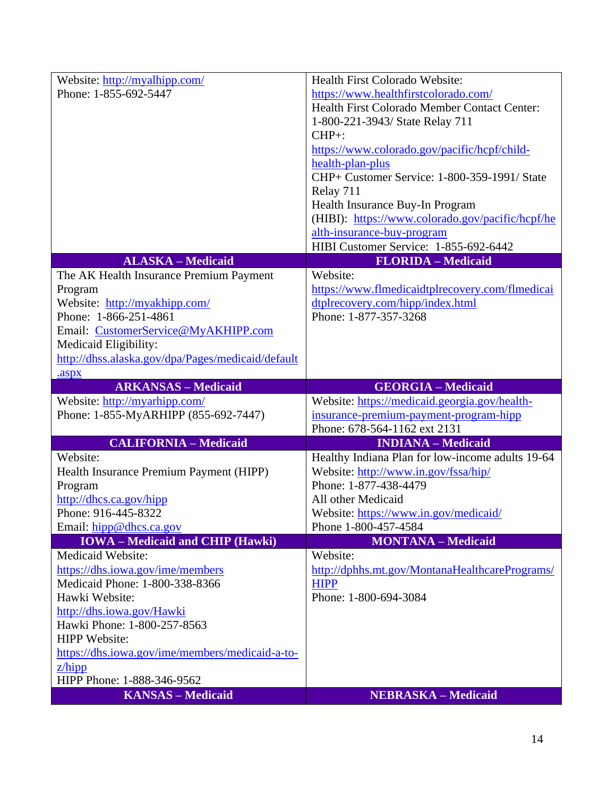| Website: http://myalhipp.com/                          | Health First Colorado Website:                   |
|--------------------------------------------------------|--------------------------------------------------|
| Phone: 1-855-692-5447                                  | https://www.healthfirstcolorado.com/             |
|                                                        | Health First Colorado Member Contact Center:     |
|                                                        | 1-800-221-3943/ State Relay 711                  |
|                                                        | $CHP+$ :                                         |
|                                                        | https://www.colorado.gov/pacific/hcpf/child-     |
|                                                        | health-plan-plus                                 |
|                                                        | CHP+ Customer Service: 1-800-359-1991/ State     |
|                                                        | Relay 711                                        |
|                                                        | Health Insurance Buy-In Program                  |
|                                                        | (HIBI): https://www.colorado.gov/pacific/hcpf/he |
|                                                        | alth-insurance-buy-program                       |
|                                                        | HIBI Customer Service: 1-855-692-6442            |
| <b>ALASKA - Medicaid</b>                               | <b>FLORIDA - Medicaid</b>                        |
| The AK Health Insurance Premium Payment                | Website:                                         |
| Program                                                | https://www.flmedicaidtplrecovery.com/flmedicai  |
| Website: http://myakhipp.com/                          | dtplrecovery.com/hipp/index.html                 |
| Phone: 1-866-251-4861                                  | Phone: 1-877-357-3268                            |
| Email: CustomerService@MyAKHIPP.com                    |                                                  |
| Medicaid Eligibility:                                  |                                                  |
| http://dhss.alaska.gov/dpa/Pages/medicaid/default      |                                                  |
| .aspx                                                  |                                                  |
| <b>ARKANSAS</b> - Medicaid                             | <b>GEORGIA - Medicaid</b>                        |
| Website: http://myarhipp.com/                          | Website: https://medicaid.georgia.gov/health-    |
| Phone: 1-855-MyARHIPP (855-692-7447)                   | insurance-premium-payment-program-hipp           |
|                                                        | Phone: 678-564-1162 ext 2131                     |
| <b>CALIFORNIA - Medicaid</b>                           | <b>INDIANA</b> - Medicaid                        |
| Website:                                               | Healthy Indiana Plan for low-income adults 19-64 |
| Health Insurance Premium Payment (HIPP)                | Website: http://www.in.gov/fssa/hip/             |
| Program                                                |                                                  |
|                                                        | Phone: 1-877-438-4479                            |
| http://dhcs.ca.gov/hipp                                | All other Medicaid                               |
| Phone: 916-445-8322                                    | Website: https://www.in.gov/medicaid/            |
| Email: hipp@dhcs.ca.gov                                | Phone 1-800-457-4584                             |
| <b>IOWA</b> – Medicaid and CHIP (Hawki)                | <b>MONTANA - Medicaid</b>                        |
| Medicaid Website:                                      | Website:                                         |
| https://dhs.iowa.gov/ime/members                       | http://dphhs.mt.gov/MontanaHealthcarePrograms/   |
| Medicaid Phone: 1-800-338-8366                         | <b>HIPP</b>                                      |
| Hawki Website:                                         | Phone: 1-800-694-3084                            |
| http://dhs.iowa.gov/Hawki                              |                                                  |
| Hawki Phone: 1-800-257-8563                            |                                                  |
| <b>HIPP Website:</b>                                   |                                                  |
| https://dhs.iowa.gov/ime/members/medicaid-a-to-        |                                                  |
| Z/hipp                                                 |                                                  |
| HIPP Phone: 1-888-346-9562<br><b>KANSAS - Medicaid</b> | <b>NEBRASKA – Medicaid</b>                       |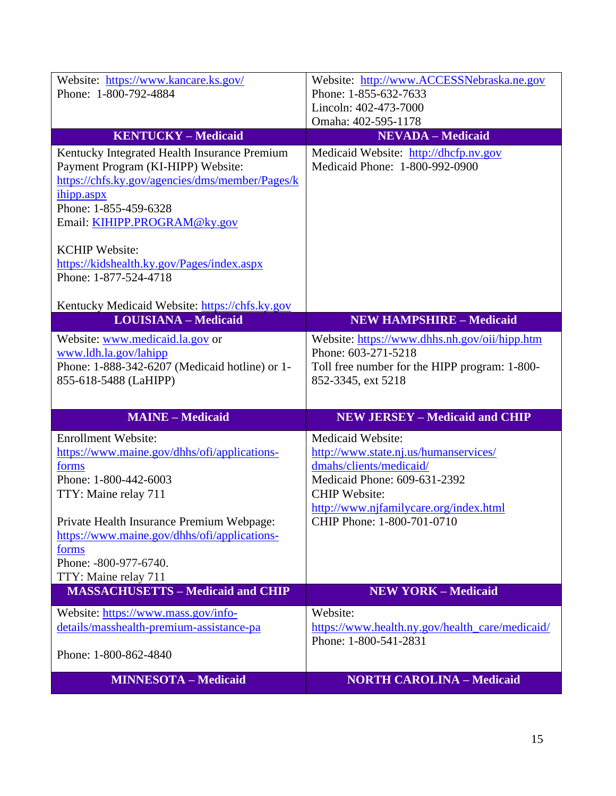| TTY: Maine relay 711<br>Private Health Insurance Premium Webpage:<br>https://www.maine.gov/dhhs/ofi/applications-<br>forms<br>Phone: -800-977-6740.<br>TTY: Maine relay 711<br><b>MASSACHUSETTS - Medicaid and CHIP</b><br>Website: https://www.mass.gov/info-<br>details/masshealth-premium-assistance-pa<br>Phone: 1-800-862-4840 | <b>CHIP</b> Website:<br>http://www.njfamilycare.org/index.html<br>CHIP Phone: 1-800-701-0710<br><b>NEW YORK - Medicaid</b><br>Website:<br>https://www.health.ny.gov/health_care/medicaid/<br>Phone: 1-800-541-2831 |
|-------------------------------------------------------------------------------------------------------------------------------------------------------------------------------------------------------------------------------------------------------------------------------------------------------------------------------------|--------------------------------------------------------------------------------------------------------------------------------------------------------------------------------------------------------------------|
|                                                                                                                                                                                                                                                                                                                                     |                                                                                                                                                                                                                    |
|                                                                                                                                                                                                                                                                                                                                     |                                                                                                                                                                                                                    |
|                                                                                                                                                                                                                                                                                                                                     |                                                                                                                                                                                                                    |
|                                                                                                                                                                                                                                                                                                                                     |                                                                                                                                                                                                                    |
|                                                                                                                                                                                                                                                                                                                                     |                                                                                                                                                                                                                    |
|                                                                                                                                                                                                                                                                                                                                     |                                                                                                                                                                                                                    |
| Phone: 1-800-442-6003                                                                                                                                                                                                                                                                                                               | Medicaid Phone: 609-631-2392                                                                                                                                                                                       |
| https://www.maine.gov/dhhs/ofi/applications-<br>forms                                                                                                                                                                                                                                                                               | http://www.state.nj.us/humanservices/<br>dmahs/clients/medicaid/                                                                                                                                                   |
| <b>Enrollment Website:</b>                                                                                                                                                                                                                                                                                                          | Medicaid Website:                                                                                                                                                                                                  |
| <b>MAINE - Medicaid</b>                                                                                                                                                                                                                                                                                                             | <b>NEW JERSEY - Medicaid and CHIP</b>                                                                                                                                                                              |
| 855-618-5488 (LaHIPP)                                                                                                                                                                                                                                                                                                               |                                                                                                                                                                                                                    |
| Phone: 1-888-342-6207 (Medicaid hotline) or 1-                                                                                                                                                                                                                                                                                      | Toll free number for the HIPP program: 1-800-<br>852-3345, ext 5218                                                                                                                                                |
| www.ldh.la.gov/lahipp                                                                                                                                                                                                                                                                                                               | Phone: 603-271-5218                                                                                                                                                                                                |
| Website: www.medicaid.la.gov or                                                                                                                                                                                                                                                                                                     | Website: https://www.dhhs.nh.gov/oii/hipp.htm                                                                                                                                                                      |
| Kentucky Medicaid Website: https://chfs.ky.gov<br><b>LOUISIANA - Medicaid</b>                                                                                                                                                                                                                                                       | <b>NEW HAMPSHIRE - Medicaid</b>                                                                                                                                                                                    |
|                                                                                                                                                                                                                                                                                                                                     |                                                                                                                                                                                                                    |
| https://kidshealth.ky.gov/Pages/index.aspx<br>Phone: 1-877-524-4718                                                                                                                                                                                                                                                                 |                                                                                                                                                                                                                    |
| <b>KCHIP Website:</b>                                                                                                                                                                                                                                                                                                               |                                                                                                                                                                                                                    |
| Email: KIHIPP.PROGRAM@ky.gov                                                                                                                                                                                                                                                                                                        |                                                                                                                                                                                                                    |
| ihipp.aspx<br>Phone: 1-855-459-6328                                                                                                                                                                                                                                                                                                 |                                                                                                                                                                                                                    |
| https://chfs.ky.gov/agencies/dms/member/Pages/k                                                                                                                                                                                                                                                                                     |                                                                                                                                                                                                                    |
| Kentucky Integrated Health Insurance Premium<br>Payment Program (KI-HIPP) Website:                                                                                                                                                                                                                                                  | Medicaid Website: http://dhcfp.nv.gov<br>Medicaid Phone: 1-800-992-0900                                                                                                                                            |
| <b>KENTUCKY-Medicaid</b>                                                                                                                                                                                                                                                                                                            | <b>NEVADA - Medicaid</b>                                                                                                                                                                                           |
|                                                                                                                                                                                                                                                                                                                                     | Omaha: 402-595-1178                                                                                                                                                                                                |
|                                                                                                                                                                                                                                                                                                                                     |                                                                                                                                                                                                                    |
| Phone: 1-800-792-4884                                                                                                                                                                                                                                                                                                               | Phone: 1-855-632-7633<br>Lincoln: 402-473-7000                                                                                                                                                                     |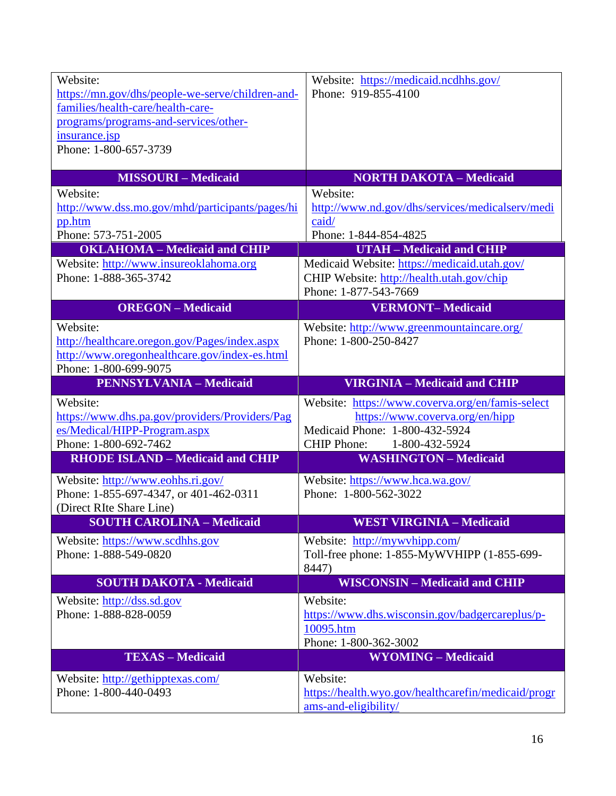| Website:                                         | Website: https://medicaid.ncdhhs.gov/                                       |
|--------------------------------------------------|-----------------------------------------------------------------------------|
| https://mn.gov/dhs/people-we-serve/children-and- | Phone: 919-855-4100                                                         |
| families/health-care/health-care-                |                                                                             |
| programs/programs-and-services/other-            |                                                                             |
| insurance.jsp                                    |                                                                             |
| Phone: 1-800-657-3739                            |                                                                             |
|                                                  |                                                                             |
| <b>MISSOURI-Medicaid</b>                         | <b>NORTH DAKOTA - Medicaid</b>                                              |
| Website:                                         | Website:                                                                    |
|                                                  |                                                                             |
| http://www.dss.mo.gov/mhd/participants/pages/hi  | http://www.nd.gov/dhs/services/medicalserv/medi                             |
| pp.htm                                           | caid/                                                                       |
| Phone: 573-751-2005                              | Phone: 1-844-854-4825                                                       |
| <b>OKLAHOMA</b> - Medicaid and CHIP              | <b>UTAH - Medicaid and CHIP</b>                                             |
| Website: http://www.insureoklahoma.org           | Medicaid Website: https://medicaid.utah.gov/                                |
| Phone: 1-888-365-3742                            | CHIP Website: http://health.utah.gov/chip                                   |
|                                                  | Phone: 1-877-543-7669                                                       |
| <b>OREGON</b> - Medicaid                         | <b>VERMONT-Medicaid</b>                                                     |
| Website:                                         | Website: http://www.greenmountaincare.org/                                  |
| http://healthcare.orgon.gov/Pages/index.aspx     | Phone: 1-800-250-8427                                                       |
|                                                  |                                                                             |
| http://www.oregonhealthcare.gov/index-es.html    |                                                                             |
| Phone: 1-800-699-9075                            |                                                                             |
| <b>PENNSYLVANIA - Medicaid</b>                   | <b>VIRGINIA - Medicaid and CHIP</b>                                         |
| Website:                                         | Website: https://www.coverva.org/en/famis-select                            |
| https://www.dhs.pa.gov/providers/Providers/Pag   | https://www.coverva.org/en/hipp                                             |
| es/Medical/HIPP-Program.aspx                     | Medicaid Phone: 1-800-432-5924                                              |
| Phone: 1-800-692-7462                            | <b>CHIP Phone:</b><br>1-800-432-5924                                        |
| <b>RHODE ISLAND - Medicaid and CHIP</b>          | <b>WASHINGTON - Medicaid</b>                                                |
|                                                  |                                                                             |
| Website: http://www.eohhs.ri.gov/                | Website: https://www.hca.wa.gov/                                            |
| Phone: 1-855-697-4347, or 401-462-0311           | Phone: 1-800-562-3022                                                       |
| (Direct RIte Share Line)                         |                                                                             |
| <b>SOUTH CAROLINA - Medicaid</b>                 | <b>WEST VIRGINIA – Medicaid</b>                                             |
| Website: https://www.scdhhs.gov                  | Website: http://mywvhipp.com/                                               |
| Phone: 1-888-549-0820                            | Toll-free phone: 1-855-MyWVHIPP (1-855-699-                                 |
|                                                  | 8447)                                                                       |
| <b>SOUTH DAKOTA - Medicaid</b>                   | <b>WISCONSIN - Medicaid and CHIP</b>                                        |
| Website: http://dss.sd.gov                       | Website:                                                                    |
| Phone: 1-888-828-0059                            | https://www.dhs.wisconsin.gov/badgercareplus/p-                             |
|                                                  | 10095.htm                                                                   |
|                                                  | Phone: 1-800-362-3002                                                       |
| <b>TEXAS - Medicaid</b>                          | <b>WYOMING - Medicaid</b>                                                   |
|                                                  |                                                                             |
| Website: http://gethipptexas.com/                | Website:                                                                    |
| Phone: 1-800-440-0493                            |                                                                             |
|                                                  | https://health.wyo.gov/healthcarefin/medicaid/progr<br>ams-and-eligibility/ |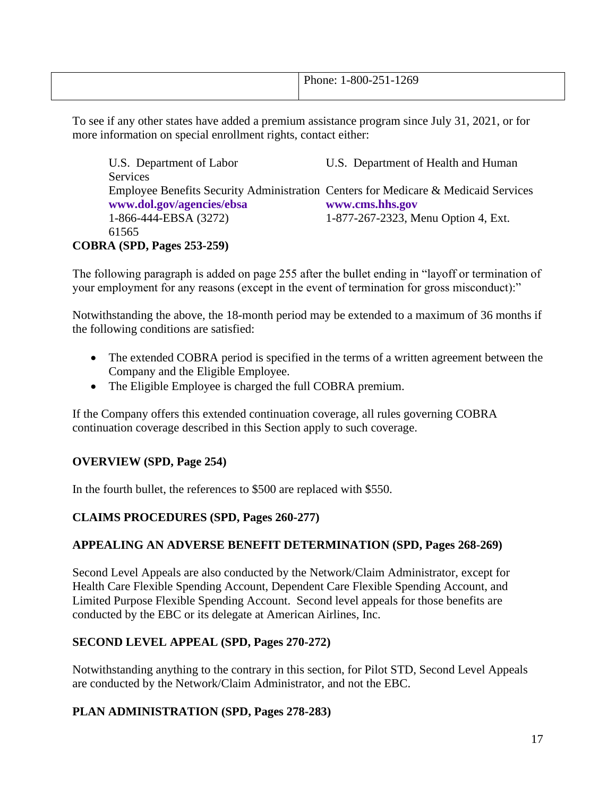|--|

To see if any other states have added a premium assistance program since July 31, 2021, or for more information on special enrollment rights, contact either:

| U.S. Department of Labor                                                           | U.S. Department of Health and Human |
|------------------------------------------------------------------------------------|-------------------------------------|
| <b>Services</b>                                                                    |                                     |
| Employee Benefits Security Administration Centers for Medicare & Medicaid Services |                                     |
| www.dol.gov/agencies/ebsa                                                          | www.cms.hhs.gov                     |
| 1-866-444-EBSA (3272)                                                              | 1-877-267-2323, Menu Option 4, Ext. |
| 61565                                                                              |                                     |
| <b>COBRA (SPD, Pages 253-259)</b>                                                  |                                     |

The following paragraph is added on page 255 after the bullet ending in "layoff or termination of your employment for any reasons (except in the event of termination for gross misconduct):"

Notwithstanding the above, the 18-month period may be extended to a maximum of 36 months if the following conditions are satisfied:

- The extended COBRA period is specified in the terms of a written agreement between the Company and the Eligible Employee.
- The Eligible Employee is charged the full COBRA premium.

If the Company offers this extended continuation coverage, all rules governing COBRA continuation coverage described in this Section apply to such coverage.

# **OVERVIEW (SPD, Page 254)**

In the fourth bullet, the references to \$500 are replaced with \$550.

### **CLAIMS PROCEDURES (SPD, Pages 260-277)**

### **APPEALING AN ADVERSE BENEFIT DETERMINATION (SPD, Pages 268-269)**

Second Level Appeals are also conducted by the Network/Claim Administrator, except for Health Care Flexible Spending Account, Dependent Care Flexible Spending Account, and Limited Purpose Flexible Spending Account. Second level appeals for those benefits are conducted by the EBC or its delegate at American Airlines, Inc.

### **SECOND LEVEL APPEAL (SPD, Pages 270-272)**

Notwithstanding anything to the contrary in this section, for Pilot STD, Second Level Appeals are conducted by the Network/Claim Administrator, and not the EBC.

### **PLAN ADMINISTRATION (SPD, Pages 278-283)**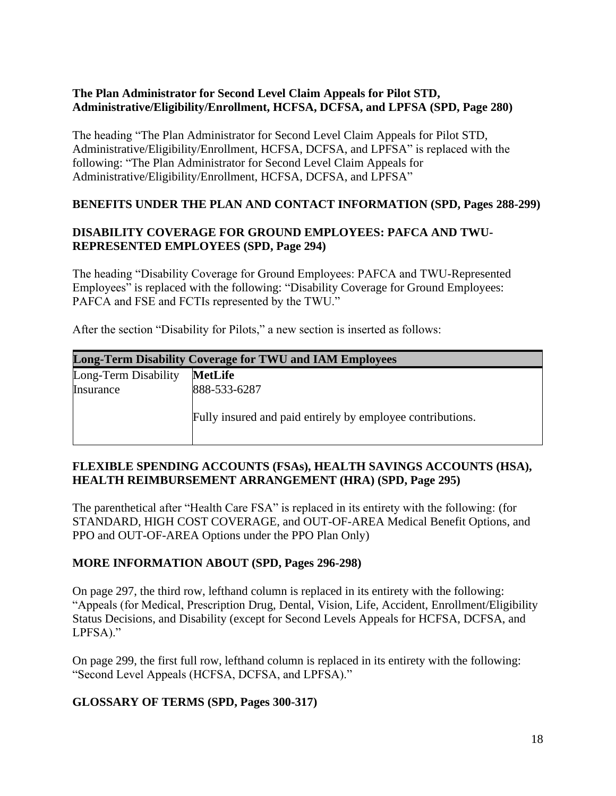### **The Plan Administrator for Second Level Claim Appeals for Pilot STD, Administrative/Eligibility/Enrollment, HCFSA, DCFSA, and LPFSA (SPD, Page 280)**

The heading "The Plan Administrator for Second Level Claim Appeals for Pilot STD, Administrative/Eligibility/Enrollment, HCFSA, DCFSA, and LPFSA" is replaced with the following: "The Plan Administrator for Second Level Claim Appeals for Administrative/Eligibility/Enrollment, HCFSA, DCFSA, and LPFSA"

### **BENEFITS UNDER THE PLAN AND CONTACT INFORMATION (SPD, Pages 288-299)**

### **DISABILITY COVERAGE FOR GROUND EMPLOYEES: PAFCA AND TWU-REPRESENTED EMPLOYEES (SPD, Page 294)**

The heading "Disability Coverage for Ground Employees: PAFCA and TWU-Represented Employees" is replaced with the following: "Disability Coverage for Ground Employees: PAFCA and FSE and FCTIs represented by the TWU."

After the section "Disability for Pilots," a new section is inserted as follows:

| <b>Long-Term Disability Coverage for TWU and IAM Employees</b> |                                                            |
|----------------------------------------------------------------|------------------------------------------------------------|
| Long-Term Disability                                           | <b>MetLife</b>                                             |
| Insurance                                                      | 888-533-6287                                               |
|                                                                | Fully insured and paid entirely by employee contributions. |

### **FLEXIBLE SPENDING ACCOUNTS (FSAs), HEALTH SAVINGS ACCOUNTS (HSA), HEALTH REIMBURSEMENT ARRANGEMENT (HRA) (SPD, Page 295)**

The parenthetical after "Health Care FSA" is replaced in its entirety with the following: (for STANDARD, HIGH COST COVERAGE, and OUT-OF-AREA Medical Benefit Options, and PPO and OUT-OF-AREA Options under the PPO Plan Only)

### **MORE INFORMATION ABOUT (SPD, Pages 296-298)**

On page 297, the third row, lefthand column is replaced in its entirety with the following: "Appeals (for Medical, Prescription Drug, Dental, Vision, Life, Accident, Enrollment/Eligibility Status Decisions, and Disability (except for Second Levels Appeals for HCFSA, DCFSA, and LPFSA)."

On page 299, the first full row, lefthand column is replaced in its entirety with the following: "Second Level Appeals (HCFSA, DCFSA, and LPFSA)."

### **GLOSSARY OF TERMS (SPD, Pages 300-317)**